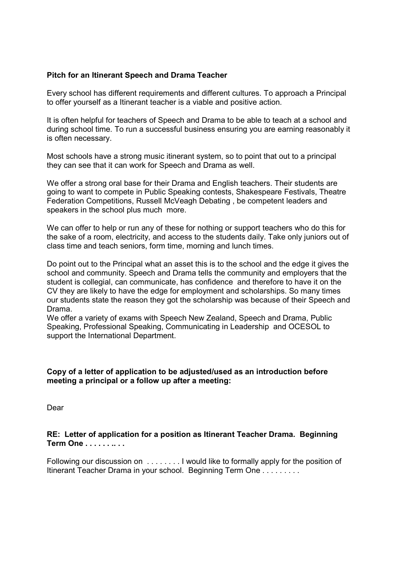#### **Pitch for an Itinerant Speech and Drama Teacher**

Every school has different requirements and different cultures. To approach a Principal to offer yourself as a Itinerant teacher is a viable and positive action.

It is often helpful for teachers of Speech and Drama to be able to teach at a school and during school time. To run a successful business ensuring you are earning reasonably it is often necessary.

Most schools have a strong music itinerant system, so to point that out to a principal they can see that it can work for Speech and Drama as well.

We offer a strong oral base for their Drama and English teachers. Their students are going to want to compete in Public Speaking contests, Shakespeare Festivals, Theatre Federation Competitions, Russell McVeagh Debating , be competent leaders and speakers in the school plus much more.

We can offer to help or run any of these for nothing or support teachers who do this for the sake of a room, electricity, and access to the students daily. Take only juniors out of class time and teach seniors, form time, morning and lunch times.

Do point out to the Principal what an asset this is to the school and the edge it gives the school and community. Speech and Drama tells the community and employers that the student is collegial, can communicate, has confidence and therefore to have it on the CV they are likely to have the edge for employment and scholarships. So many times our students state the reason they got the scholarship was because of their Speech and Drama.

We offer a variety of exams with Speech New Zealand, Speech and Drama, Public Speaking, Professional Speaking, Communicating in Leadership and OCESOL to support the International Department.

#### **Copy of a letter of application to be adjusted/used as an introduction before meeting a principal or a follow up after a meeting:**

Dear

**RE: Letter of application for a position as Itinerant Teacher Drama. Beginning Term One . . . . . . .. . .** 

Following our discussion on . . . . . . . . I would like to formally apply for the position of Itinerant Teacher Drama in your school. Beginning Term One . . . . . . . . .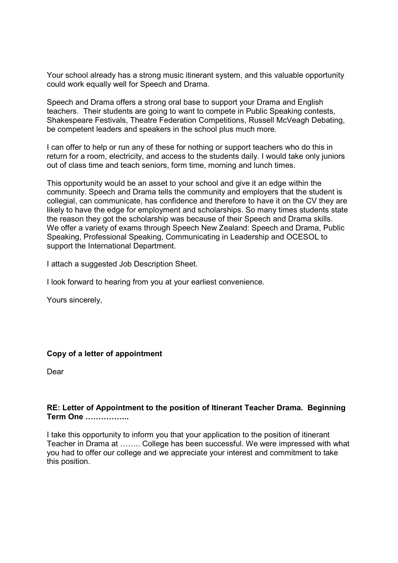Your school already has a strong music itinerant system, and this valuable opportunity could work equally well for Speech and Drama.

Speech and Drama offers a strong oral base to support your Drama and English teachers. Their students are going to want to compete in Public Speaking contests, Shakespeare Festivals, Theatre Federation Competitions, Russell McVeagh Debating, be competent leaders and speakers in the school plus much more.

I can offer to help or run any of these for nothing or support teachers who do this in return for a room, electricity, and access to the students daily. I would take only juniors out of class time and teach seniors, form time, morning and lunch times.

This opportunity would be an asset to your school and give it an edge within the community. Speech and Drama tells the community and employers that the student is collegial, can communicate, has confidence and therefore to have it on the CV they are likely to have the edge for employment and scholarships. So many times students state the reason they got the scholarship was because of their Speech and Drama skills. We offer a variety of exams through Speech New Zealand: Speech and Drama, Public Speaking, Professional Speaking, Communicating in Leadership and OCESOL to support the International Department.

I attach a suggested Job Description Sheet.

I look forward to hearing from you at your earliest convenience.

Yours sincerely,

## **Copy of a letter of appointment**

Dear

## **RE: Letter of Appointment to the position of Itinerant Teacher Drama. Beginning Term One ................**

I take this opportunity to inform you that your application to the position of itinerant Teacher in Drama at ........ College has been successful. We were impressed with what you had to offer our college and we appreciate your interest and commitment to take this position.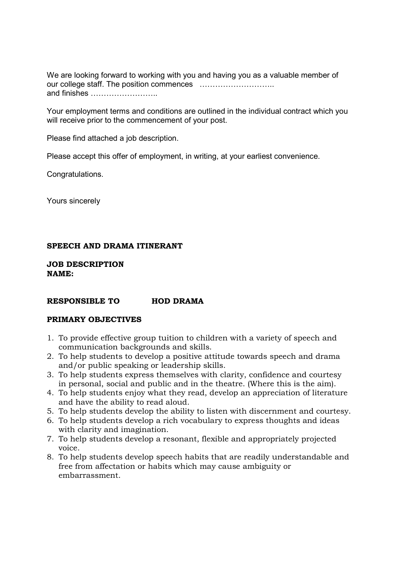We are looking forward to working with you and having you as a valuable member of our college staff. The position commences 111111111.. and finishes ............................

Your employment terms and conditions are outlined in the individual contract which you will receive prior to the commencement of your post.

Please find attached a job description.

Please accept this offer of employment, in writing, at your earliest convenience.

Congratulations.

Yours sincerely

## **SPEECH AND DRAMA ITINERANT**

**JOB DESCRIPTION NAME:** 

#### **RESPONSIBLE TO HOD DRAMA**

## **PRIMARY OBJECTIVES**

- 1. To provide effective group tuition to children with a variety of speech and communication backgrounds and skills.
- 2. To help students to develop a positive attitude towards speech and drama and/or public speaking or leadership skills.
- 3. To help students express themselves with clarity, confidence and courtesy in personal, social and public and in the theatre. (Where this is the aim).
- 4. To help students enjoy what they read, develop an appreciation of literature and have the ability to read aloud.
- 5. To help students develop the ability to listen with discernment and courtesy.
- 6. To help students develop a rich vocabulary to express thoughts and ideas with clarity and imagination.
- 7. To help students develop a resonant, flexible and appropriately projected voice.
- 8. To help students develop speech habits that are readily understandable and free from affectation or habits which may cause ambiguity or embarrassment.